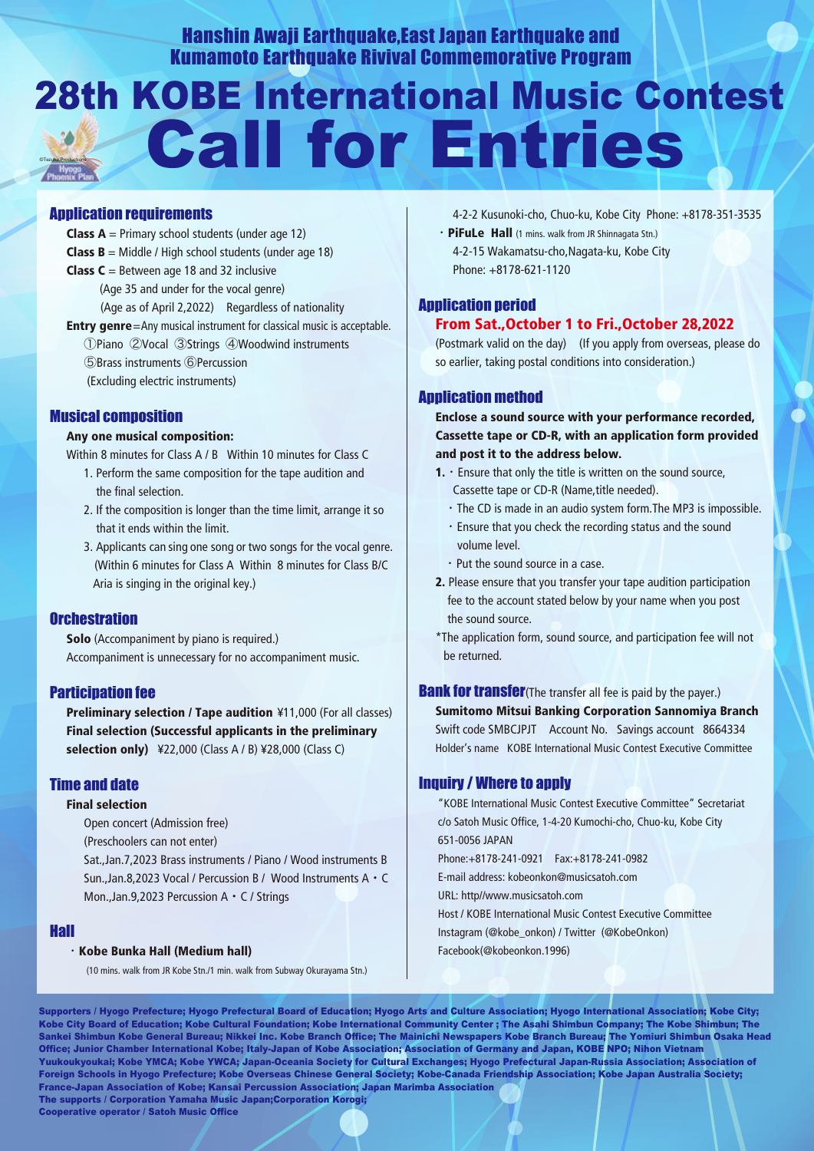Hanshin Awaji Earthquake,East Japan Earthquake and Kumamoto Earthquake Rivival Commemorative Program

# 28th KOBE International Music Contest Call for Entries ©Tezuka Productions

## Application requirements

- **Class A** = Primary school students (under age 12) **Class B** = Middle / High school students (under age 18) **Class C** = Between age 18 and 32 inclusive (Age 35 and under for the vocal genre) (Age as of April 2,2022) Regardless of nationality **Entry genre**=Any musical instrument for classical music is acceptable.
- ①Piano ②Vocal ③Strings ④Woodwind instruments ⑤Brass instruments ⑥Percussion (Excluding electric instruments)

## Musical composition

#### Any one musical composition:

Within 8 minutes for Class A / B Within 10 minutes for Class C

- 1. Perform the same composition for the tape audition and the final selection.
- 2. If the composition is longer than the time limit, arrange it so that it ends within the limit.
- 3. Applicants can sing one song or two songs for the vocal genre. (Within 6 minutes for Class A Within 8 minutes for Class B/C Aria is singing in the original key.)

## **Orchestration**

Solo (Accompaniment by piano is required.) Accompaniment is unnecessary for no accompaniment music.

## Participation fee

**Preliminary selection / Tape audition \#11,000 (For all classes)**  Final selection (Successful applicants in the preliminary selection only) ¥22,000 (Class A / B) ¥28,000 (Class C)

## Time and date

#### Final selection

 Open concert (Admission free) (Preschoolers can not enter)

 Sat.,Jan.7,2023 Brass instruments / Piano / Wood instruments B Sun.,Jan.8,2023 Vocal / Percussion B / Wood Instruments A・C Mon.,Jan.9,2023 Percussion A・C / Strings

#### Hall

#### ・Kobe Bunka Hall (Medium hall)

(10 mins. walk from JR Kobe Stn./1 min. walk from Subway Okurayama Stn.)

4-2-2 Kusunoki-cho, Chuo-ku, Kobe City Phone: +8178-351-3535

 ・PiFuLe Hall (1 mins. walk from JR Shinnagata Stn.) 4-2-15 Wakamatsu-cho,Nagata-ku, Kobe City Phone: +8178-621-1120

## Application period From Sat.,October 1 to Fri.,October 28,2022

 (Postmark valid on the day) (If you apply from overseas, please do so earlier, taking postal conditions into consideration.)

## Application method

Enclose a sound source with your performance recorded, Cassette tape or CD-R, with an application form provided and post it to the address below.

- **1.**  $\cdot$  Ensure that only the title is written on the sound source, Cassette tape or CD-R (Name,title needed).
	- ・The CD is made in an audio system form.The MP3 is impossible.
	- ・Ensure that you check the recording status and the sound volume level.
	- ・Put the sound source in a case.
- 2. Please ensure that you transfer your tape audition participation fee to the account stated below by your name when you post the sound source.
- \*The application form, sound source, and participation fee will not be returned.

**Bank for transfer**(The transfer all fee is paid by the payer.) Sumitomo Mitsui Banking Corporation Sannomiya Branch Swift code SMBCJPJT Account No. Savings account 8664334 Holder's name KOBE International Music Contest Executive Committee

## Inquiry / Where to apply

"KOBE International Music Contest Executive Committee" Secretariat c/o Satoh Music Office, 1-4-20 Kumochi-cho, Chuo-ku, Kobe City 651-0056 JAPAN Phone:+8178-241-0921 Fax:+8178-241-0982 E-mail address: kobeonkon@musicsatoh.com URL: http//www.musicsatoh.com Host / KOBE International Music Contest Executive Committee Instagram (@kobe\_onkon) / Twitter (@KobeOnkon) Facebook(@kobeonkon.1996)

Supporters / Hyogo Prefecture; Hyogo Prefectural Board of Education; Hyogo Arts and Culture Association; Hyogo International Association; Kobe City; Kobe City Board of Education; Kobe Cultural Foundation; Kobe International Community Center ; The Asahi Shimbun Company; The Kobe Shimbun; The Sankei Shimbun Kobe General Bureau; Nikkei Inc. Kobe Branch Office; The Mainichi Newspapers Kobe Branch Bureau; The Yomiuri Shimbun Osaka Head Office; Junior Chamber International Kobe; Italy-Japan of Kobe Association; Association of Germany and Japan, KOBE NPO; Nihon Vietnam Yuukoukyoukai; Kobe YMCA; Kobe YWCA; Japan-Oceania Society for Cultural Exchanges; Hyogo Prefectural Japan-Russia Association; Association of Foreign Schools in Hyogo Prefecture; Kobe Overseas Chinese General Society; Kobe-Canada Friendship Association; Kobe Japan Australia Society; France-Japan Association of Kobe; Kansai Percussion Association; Japan Marimba Association The supports / Corporation Yamaha Music Japan;Corporation Korogi;

Cooperative operator / Satoh Music Office